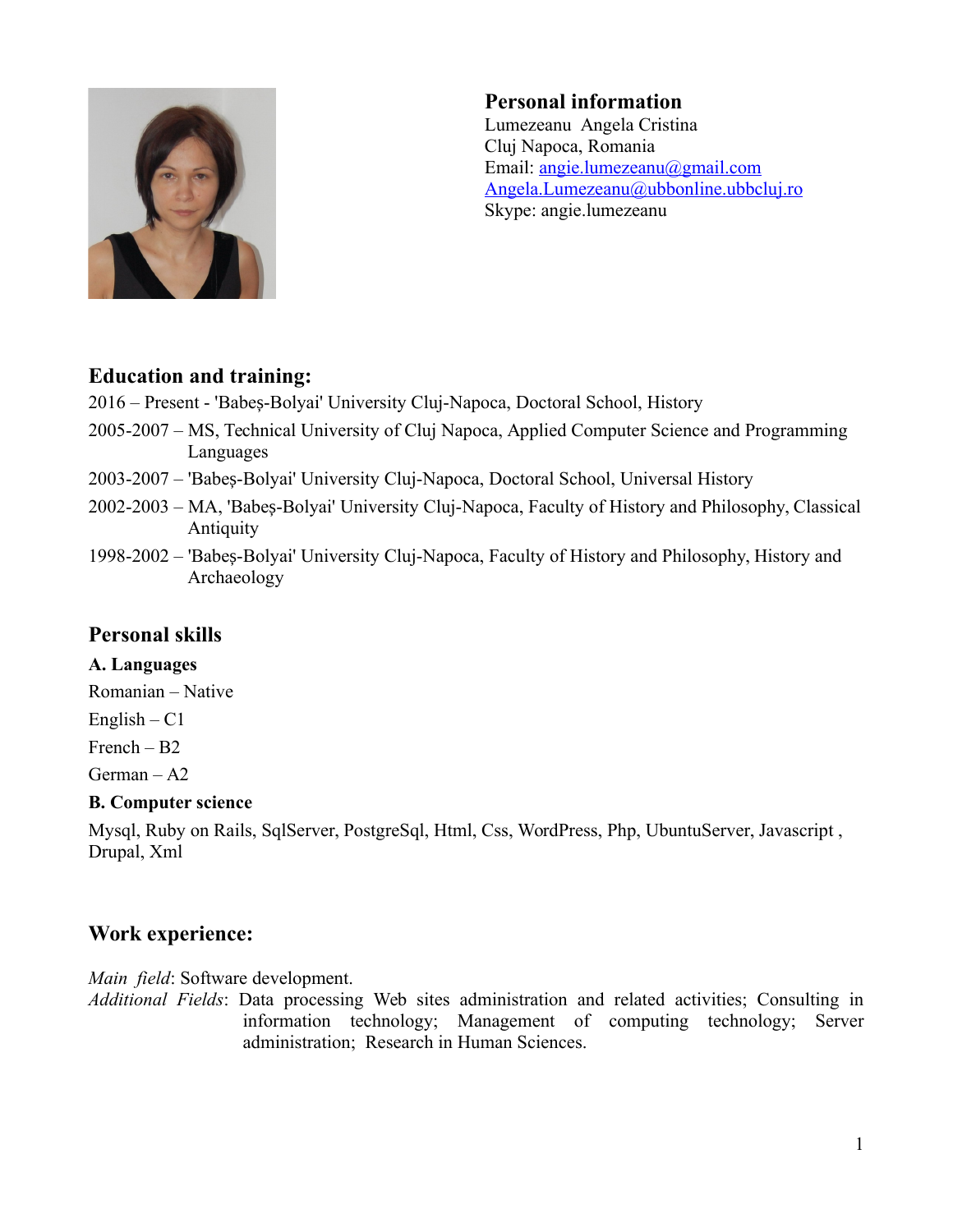

## **Personal information**

Lumezeanu Angela Cristina Cluj Napoca, Romania Email: [angie.lumezeanu@gmail.com](mailto:angie.lumezeanu@gmail.com) Angela.Lumezeanu@ubbonline.ubbcluj.ro Skype: angie.lumezeanu

### **Education and training:**

2016 – Present - 'Babeș-Bolyai' University Cluj-Napoca, Doctoral School, History

- 2005-2007 MS, Technical University of Cluj Napoca, Applied Computer Science and Programming Languages
- 2003-2007 'Babeș-Bolyai' University Cluj-Napoca, Doctoral School, Universal History
- 2002-2003 MA, 'Babes-Bolyai' University Cluj-Napoca, Faculty of History and Philosophy, Classical **Antiquity**
- 1998-2002 'Babeș-Bolyai' University Cluj-Napoca, Faculty of History and Philosophy, History and Archaeology

## **Personal skills**

#### **A. Languages**

Romanian – Native

 $English - C1$ 

French – B2

German – A2

#### **B. Computer science**

Mysql, Ruby on Rails, SqlServer, PostgreSql, Html, Css, WordPress, Php, UbuntuServer, Javascript , Drupal, Xml

# **Work experience:**

*Main field*: Software development.

*Additional Fields*: Data processing Web sites administration and related activities; Consulting in information technology; Management of computing technology; Server administration; Research in Human Sciences.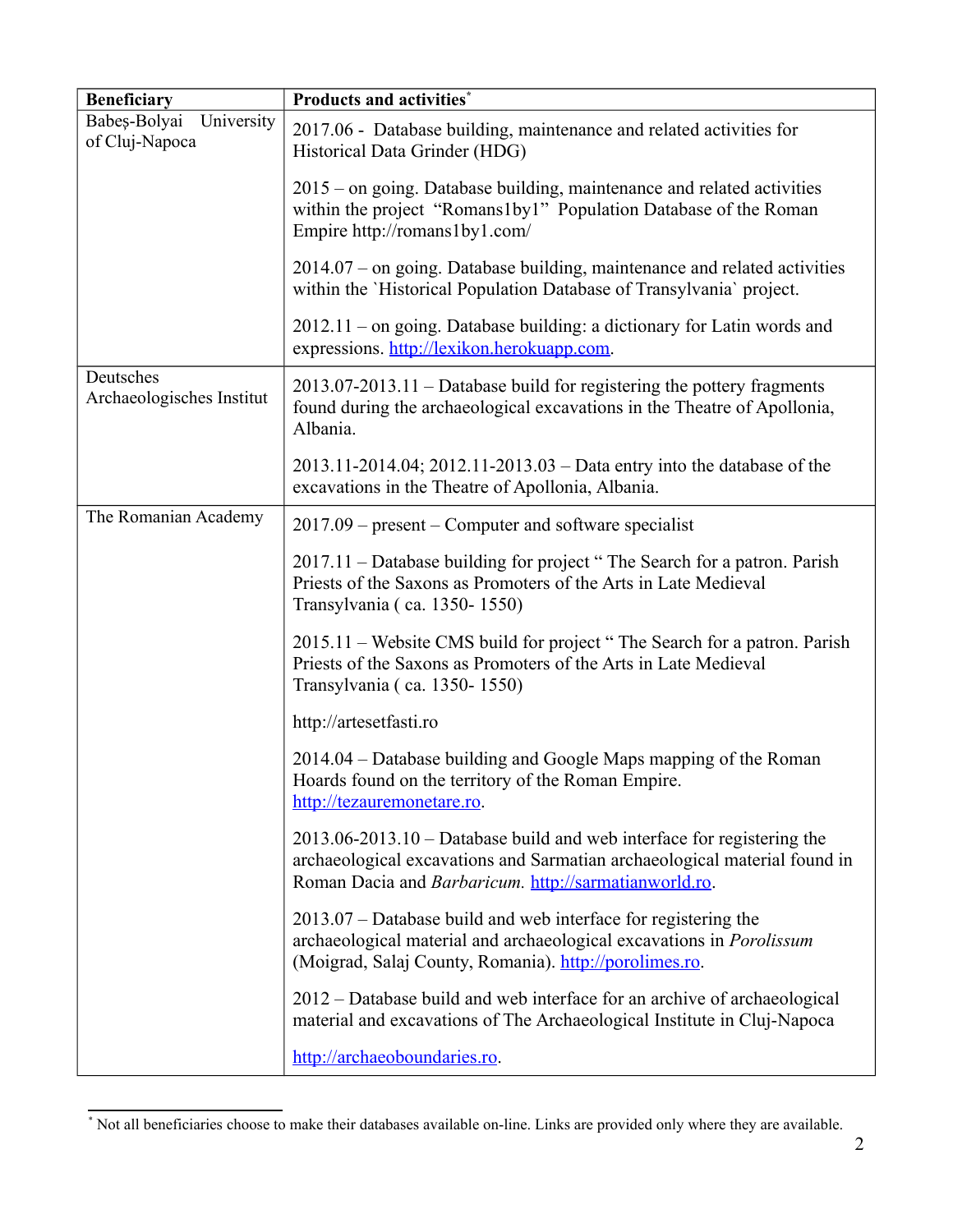| <b>Beneficiary</b>                           | <b>Products and activities*</b>                                                                                                                                                                              |
|----------------------------------------------|--------------------------------------------------------------------------------------------------------------------------------------------------------------------------------------------------------------|
| Babeș-Bolyai<br>University<br>of Cluj-Napoca | 2017.06 - Database building, maintenance and related activities for<br>Historical Data Grinder (HDG)                                                                                                         |
|                                              | 2015 – on going. Database building, maintenance and related activities<br>within the project "Romans1by1" Population Database of the Roman<br>Empire http://romans1by1.com/                                  |
|                                              | $2014.07$ – on going. Database building, maintenance and related activities<br>within the 'Historical Population Database of Transylvania' project.                                                          |
|                                              | $2012.11$ – on going. Database building: a dictionary for Latin words and<br>expressions. http://lexikon.herokuapp.com.                                                                                      |
| Deutsches<br>Archaeologisches Institut       | 2013.07-2013.11 – Database build for registering the pottery fragments<br>found during the archaeological excavations in the Theatre of Apollonia,<br>Albania.                                               |
|                                              | $2013.11 - 2014.04$ ; $2012.11 - 2013.03 - Data$ entry into the database of the<br>excavations in the Theatre of Apollonia, Albania.                                                                         |
| The Romanian Academy                         | $2017.09$ – present – Computer and software specialist                                                                                                                                                       |
|                                              | 2017.11 – Database building for project "The Search for a patron. Parish<br>Priests of the Saxons as Promoters of the Arts in Late Medieval<br>Transylvania (ca. 1350-1550)                                  |
|                                              | 2015.11 – Website CMS build for project "The Search for a patron. Parish<br>Priests of the Saxons as Promoters of the Arts in Late Medieval<br>Transylvania (ca. 1350-1550)                                  |
|                                              | http://artesetfasti.ro                                                                                                                                                                                       |
|                                              | 2014.04 – Database building and Google Maps mapping of the Roman<br>Hoards found on the territory of the Roman Empire.<br>http://tezauremonetare.ro.                                                         |
|                                              | 2013.06-2013.10 – Database build and web interface for registering the<br>archaeological excavations and Sarmatian archaeological material found in<br>Roman Dacia and Barbaricum. http://sarmatianworld.ro. |
|                                              | 2013.07 – Database build and web interface for registering the<br>archaeological material and archaeological excavations in <i>Porolissum</i><br>(Moigrad, Salaj County, Romania). http://porolimes.ro.      |
|                                              | 2012 – Database build and web interface for an archive of archaeological<br>material and excavations of The Archaeological Institute in Cluj-Napoca                                                          |
|                                              | http://archaeoboundaries.ro.                                                                                                                                                                                 |

<span id="page-1-0"></span><sup>\*</sup> Not all beneficiaries choose to make their databases available on-line. Links are provided only where they are available.